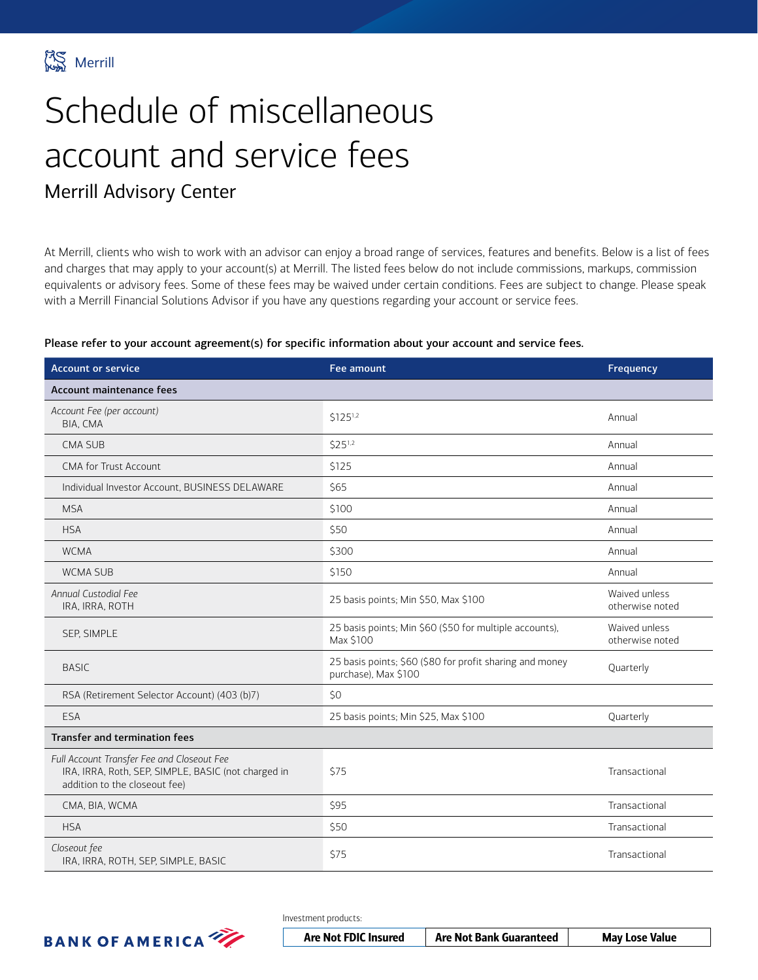

# Schedule of miscellaneous account and service fees

### Merrill Advisory Center

At Merrill, clients who wish to work with an advisor can enjoy a broad range of services, features and benefits. Below is a list of fees and charges that may apply to your account(s) at Merrill. The listed fees below do not include commissions, markups, commission equivalents or advisory fees. Some of these fees may be waived under certain conditions. Fees are subject to change. Please speak with a Merrill Financial Solutions Advisor if you have any questions regarding your account or service fees.

#### Please refer to your account agreement(s) for specific information about your account and service fees.

| <b>Account or service</b>                                                                                                          | <b>Fee amount</b>                                                                | Frequency                        |
|------------------------------------------------------------------------------------------------------------------------------------|----------------------------------------------------------------------------------|----------------------------------|
| Account maintenance fees                                                                                                           |                                                                                  |                                  |
| Account Fee (per account)<br>BIA, CMA                                                                                              | \$1251,2                                                                         | Annual                           |
| <b>CMA SUB</b>                                                                                                                     | $$25^{1,2}$                                                                      | Annual                           |
| <b>CMA for Trust Account</b>                                                                                                       | \$125                                                                            | Annual                           |
| Individual Investor Account, BUSINESS DELAWARE                                                                                     | \$65                                                                             | Annual                           |
| <b>MSA</b>                                                                                                                         | \$100                                                                            | Annual                           |
| <b>HSA</b>                                                                                                                         | \$50                                                                             | Annual                           |
| <b>WCMA</b>                                                                                                                        | \$300                                                                            | Annual                           |
| <b>WCMA SUB</b>                                                                                                                    | \$150                                                                            | Annual                           |
| Annual Custodial Fee<br>IRA, IRRA, ROTH                                                                                            | 25 basis points; Min \$50, Max \$100                                             | Waived unless<br>otherwise noted |
| SEP, SIMPLE                                                                                                                        | 25 basis points; Min \$60 (\$50 for multiple accounts),<br>Max \$100             | Waived unless<br>otherwise noted |
| <b>BASIC</b>                                                                                                                       | 25 basis points; \$60 (\$80 for profit sharing and money<br>purchase), Max \$100 | Quarterly                        |
| RSA (Retirement Selector Account) (403 (b)7)                                                                                       | \$0                                                                              |                                  |
| ESA                                                                                                                                | 25 basis points; Min \$25, Max \$100                                             | Quarterly                        |
| <b>Transfer and termination fees</b>                                                                                               |                                                                                  |                                  |
| Full Account Transfer Fee and Closeout Fee<br>IRA, IRRA, Roth, SEP, SIMPLE, BASIC (not charged in<br>addition to the closeout fee) | \$75                                                                             | Transactional                    |
| CMA, BIA, WCMA                                                                                                                     | \$95                                                                             | Transactional                    |
| <b>HSA</b>                                                                                                                         | \$50                                                                             | Transactional                    |
| Closeout fee<br>IRA, IRRA, ROTH, SEP, SIMPLE, BASIC                                                                                | <b>\$75</b>                                                                      | Transactional                    |



Investment products:

| <b>Are Not FDIC Insured</b> | <b>Are Not Bank Guaranteed</b> | <b>May Lose Value</b> |
|-----------------------------|--------------------------------|-----------------------|
|-----------------------------|--------------------------------|-----------------------|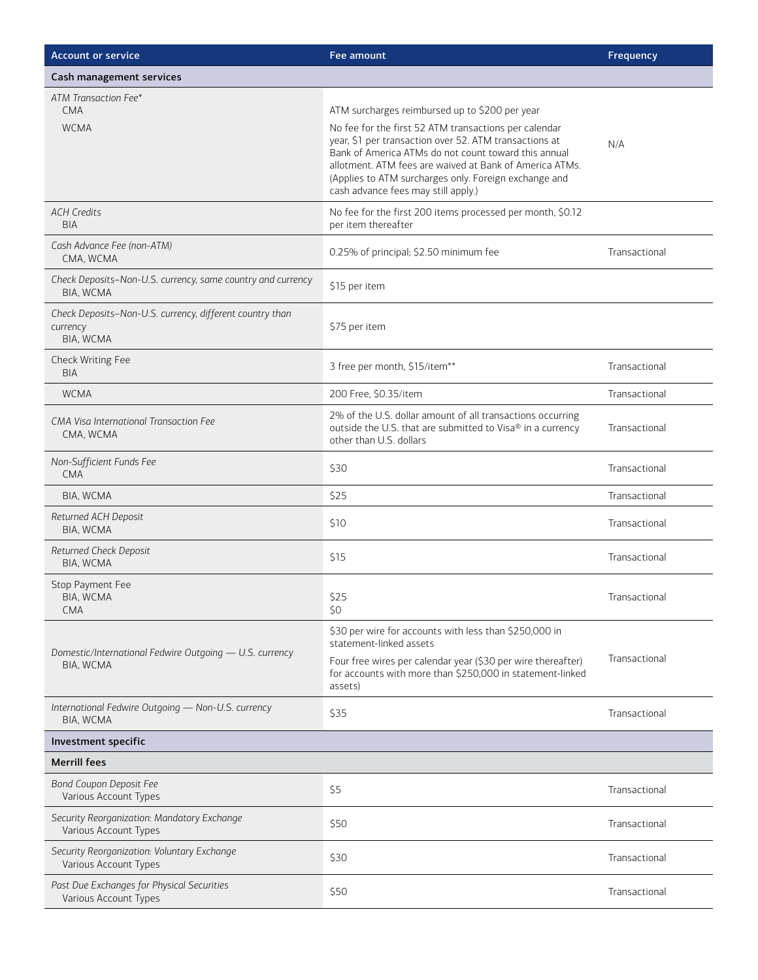| <b>Account or service</b>                                                         | Fee amount                                                                                                                                                                                                                                                                                                                                                                           | Frequency     |
|-----------------------------------------------------------------------------------|--------------------------------------------------------------------------------------------------------------------------------------------------------------------------------------------------------------------------------------------------------------------------------------------------------------------------------------------------------------------------------------|---------------|
| Cash management services                                                          |                                                                                                                                                                                                                                                                                                                                                                                      |               |
| ATM Transaction Fee*<br><b>CMA</b><br><b>WCMA</b>                                 | ATM surcharges reimbursed up to \$200 per year<br>No fee for the first 52 ATM transactions per calendar<br>year, \$1 per transaction over 52. ATM transactions at<br>Bank of America ATMs do not count toward this annual<br>allotment. ATM fees are waived at Bank of America ATMs.<br>(Applies to ATM surcharges only. Foreign exchange and<br>cash advance fees may still apply.) | N/A           |
| <b>ACH Credits</b><br><b>BIA</b>                                                  | No fee for the first 200 items processed per month, \$0.12<br>per item thereafter                                                                                                                                                                                                                                                                                                    |               |
| Cash Advance Fee (non-ATM)<br>CMA, WCMA                                           | 0.25% of principal; \$2.50 minimum fee                                                                                                                                                                                                                                                                                                                                               | Transactional |
| Check Deposits-Non-U.S. currency, same country and currency<br>BIA, WCMA          | \$15 per item                                                                                                                                                                                                                                                                                                                                                                        |               |
| Check Deposits-Non-U.S. currency, different country than<br>currency<br>BIA, WCMA | \$75 per item                                                                                                                                                                                                                                                                                                                                                                        |               |
| Check Writing Fee<br><b>BIA</b>                                                   | 3 free per month, \$15/item**                                                                                                                                                                                                                                                                                                                                                        | Transactional |
| <b>WCMA</b>                                                                       | 200 Free, \$0.35/item                                                                                                                                                                                                                                                                                                                                                                | Transactional |
| CMA Visa International Transaction Fee<br>CMA, WCMA                               | 2% of the U.S. dollar amount of all transactions occurring<br>outside the U.S. that are submitted to Visa® in a currency<br>other than U.S. dollars                                                                                                                                                                                                                                  | Transactional |
| Non-Sufficient Funds Fee<br><b>CMA</b>                                            | \$30                                                                                                                                                                                                                                                                                                                                                                                 | Transactional |
| BIA, WCMA                                                                         | \$25                                                                                                                                                                                                                                                                                                                                                                                 | Transactional |
| Returned ACH Deposit<br>BIA, WCMA                                                 | \$10                                                                                                                                                                                                                                                                                                                                                                                 | Transactional |
| Returned Check Deposit<br>BIA, WCMA                                               | \$15                                                                                                                                                                                                                                                                                                                                                                                 | Transactional |
| Stop Payment Fee<br>BIA, WCMA<br><b>CMA</b>                                       | \$25<br>\$0                                                                                                                                                                                                                                                                                                                                                                          | Transactional |
| Domestic/International Fedwire Outgoing - U.S. currency<br>BIA, WCMA              | \$30 per wire for accounts with less than \$250,000 in<br>statement-linked assets<br>Four free wires per calendar year (\$30 per wire thereafter)<br>for accounts with more than \$250,000 in statement-linked<br>assets)                                                                                                                                                            | Transactional |
| International Fedwire Outgoing - Non-U.S. currency<br>BIA, WCMA                   | \$35                                                                                                                                                                                                                                                                                                                                                                                 | Transactional |
| Investment specific                                                               |                                                                                                                                                                                                                                                                                                                                                                                      |               |
| <b>Merrill fees</b>                                                               |                                                                                                                                                                                                                                                                                                                                                                                      |               |
| <b>Bond Coupon Deposit Fee</b><br>Various Account Types                           | \$5                                                                                                                                                                                                                                                                                                                                                                                  | Transactional |
| Security Reorganization: Mandatory Exchange<br>Various Account Types              | \$50                                                                                                                                                                                                                                                                                                                                                                                 | Transactional |
| Security Reorganization: Voluntary Exchange<br>Various Account Types              | \$30                                                                                                                                                                                                                                                                                                                                                                                 | Transactional |
| Past Due Exchanges for Physical Securities<br>Various Account Types               | \$50                                                                                                                                                                                                                                                                                                                                                                                 | Transactional |